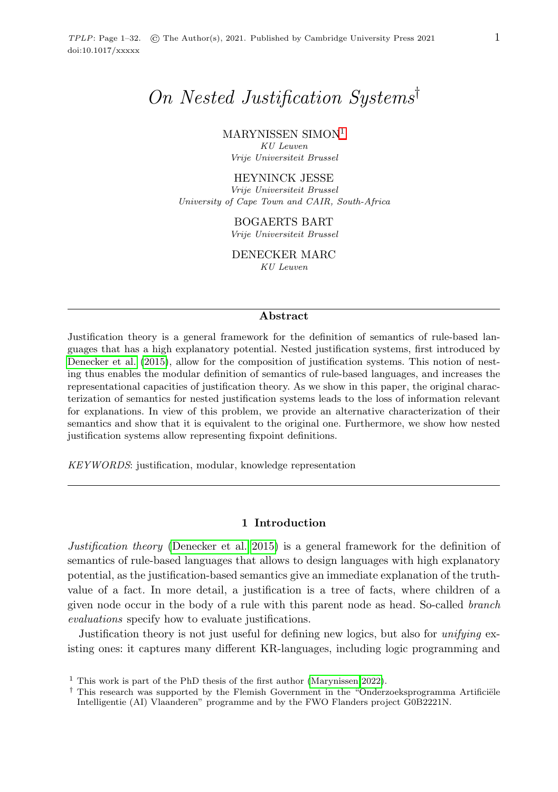# On Nested Justification Systems†

MARYNISSEN SIMON[1](#page-0-0)

KU Leuven Vrije Universiteit Brussel

#### HEYNINCK JESSE

Vrije Universiteit Brussel University of Cape Town and CAIR, South-Africa

BOGAERTS BART

Vrije Universiteit Brussel

DENECKER MARC KU Leuven

#### Abstract

Justification theory is a general framework for the definition of semantics of rule-based languages that has a high explanatory potential. Nested justification systems, first introduced by [Denecker et al.](#page-15-0) [\(2015\)](#page-15-0), allow for the composition of justification systems. This notion of nesting thus enables the modular definition of semantics of rule-based languages, and increases the representational capacities of justification theory. As we show in this paper, the original characterization of semantics for nested justification systems leads to the loss of information relevant for explanations. In view of this problem, we provide an alternative characterization of their semantics and show that it is equivalent to the original one. Furthermore, we show how nested justification systems allow representing fixpoint definitions.

KEYWORDS: justification, modular, knowledge representation

## 1 Introduction

Justification theory [\(Denecker et al. 2015\)](#page-15-0) is a general framework for the definition of semantics of rule-based languages that allows to design languages with high explanatory potential, as the justification-based semantics give an immediate explanation of the truthvalue of a fact. In more detail, a justification is a tree of facts, where children of a given node occur in the body of a rule with this parent node as head. So-called branch evaluations specify how to evaluate justifications.

Justification theory is not just useful for defining new logics, but also for *unifying* existing ones: it captures many different KR-languages, including logic programming and

<span id="page-0-0"></span><sup>&</sup>lt;sup>1</sup> This work is part of the PhD thesis of the first author [\(Marynissen 2022\)](#page-15-1).

 $\dagger$  This research was supported by the Flemish Government in the "Onderzoeksprogramma Artificiële Intelligentie (AI) Vlaanderen" programme and by the FWO Flanders project G0B2221N.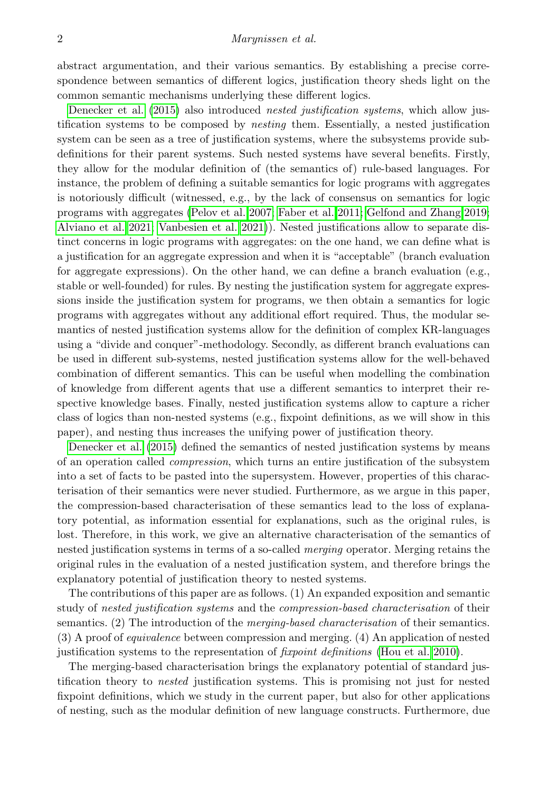abstract argumentation, and their various semantics. By establishing a precise correspondence between semantics of different logics, justification theory sheds light on the common semantic mechanisms underlying these different logics.

[Denecker et al. \(2015\)](#page-15-0) also introduced *nested justification systems*, which allow justification systems to be composed by nesting them. Essentially, a nested justification system can be seen as a tree of justification systems, where the subsystems provide subdefinitions for their parent systems. Such nested systems have several benefits. Firstly, they allow for the modular definition of (the semantics of) rule-based languages. For instance, the problem of defining a suitable semantics for logic programs with aggregates is notoriously difficult (witnessed, e.g., by the lack of consensus on semantics for logic programs with aggregates [\(Pelov et al. 2007;](#page-15-2) [Faber et al. 2011;](#page-15-3) [Gelfond and Zhang 2019;](#page-15-4) [Alviano et al. 2021;](#page-15-5) [Vanbesien et al. 2021\)](#page-15-6)). Nested justifications allow to separate distinct concerns in logic programs with aggregates: on the one hand, we can define what is a justification for an aggregate expression and when it is "acceptable" (branch evaluation for aggregate expressions). On the other hand, we can define a branch evaluation (e.g., stable or well-founded) for rules. By nesting the justification system for aggregate expressions inside the justification system for programs, we then obtain a semantics for logic programs with aggregates without any additional effort required. Thus, the modular semantics of nested justification systems allow for the definition of complex KR-languages using a "divide and conquer"-methodology. Secondly, as different branch evaluations can be used in different sub-systems, nested justification systems allow for the well-behaved combination of different semantics. This can be useful when modelling the combination of knowledge from different agents that use a different semantics to interpret their respective knowledge bases. Finally, nested justification systems allow to capture a richer class of logics than non-nested systems (e.g., fixpoint definitions, as we will show in this paper), and nesting thus increases the unifying power of justification theory.

[Denecker et al. \(2015\)](#page-15-0) defined the semantics of nested justification systems by means of an operation called compression, which turns an entire justification of the subsystem into a set of facts to be pasted into the supersystem. However, properties of this characterisation of their semantics were never studied. Furthermore, as we argue in this paper, the compression-based characterisation of these semantics lead to the loss of explanatory potential, as information essential for explanations, such as the original rules, is lost. Therefore, in this work, we give an alternative characterisation of the semantics of nested justification systems in terms of a so-called merging operator. Merging retains the original rules in the evaluation of a nested justification system, and therefore brings the explanatory potential of justification theory to nested systems.

The contributions of this paper are as follows. (1) An expanded exposition and semantic study of nested justification systems and the compression-based characterisation of their semantics. (2) The introduction of the *merging-based characterisation* of their semantics. (3) A proof of equivalence between compression and merging. (4) An application of nested justification systems to the representation of fixpoint definitions [\(Hou et al. 2010\)](#page-15-7).

The merging-based characterisation brings the explanatory potential of standard justification theory to nested justification systems. This is promising not just for nested fixpoint definitions, which we study in the current paper, but also for other applications of nesting, such as the modular definition of new language constructs. Furthermore, due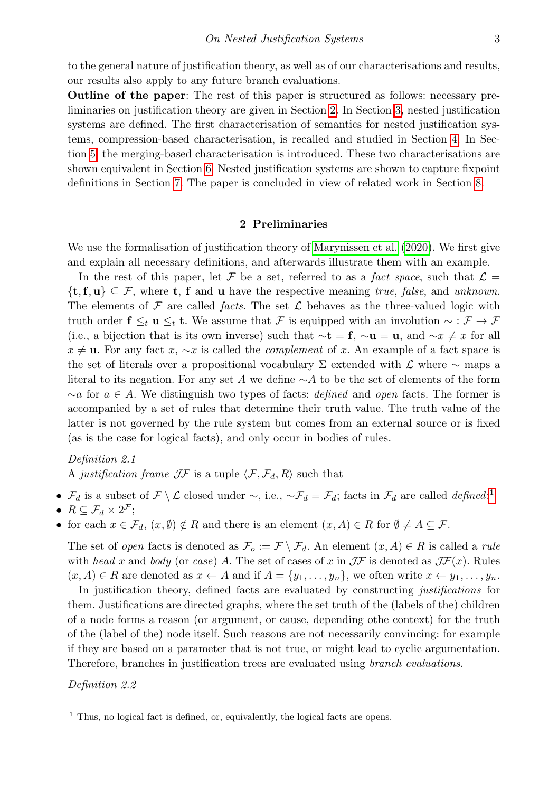to the general nature of justification theory, as well as of our characterisations and results, our results also apply to any future branch evaluations.

Outline of the paper: The rest of this paper is structured as follows: necessary preliminaries on justification theory are given in Section [2.](#page-2-0) In Section [3,](#page-5-0) nested justification systems are defined. The first characterisation of semantics for nested justification systems, compression-based characterisation, is recalled and studied in Section [4.](#page-7-0) In Section [5,](#page-10-0) the merging-based characterisation is introduced. These two characterisations are shown equivalent in Section [6.](#page-12-0) Nested justification systems are shown to capture fixpoint definitions in Section [7.](#page-13-0) The paper is concluded in view of related work in Section [8.](#page-14-0)

## 2 Preliminaries

<span id="page-2-0"></span>We use the formalisation of justification theory of [Marynissen et al. \(2020\)](#page-15-8). We first give and explain all necessary definitions, and afterwards illustrate them with an example.

In the rest of this paper, let F be a set, referred to as a fact space, such that  $\mathcal{L} =$  $\{t, f, u\} \subseteq \mathcal{F}$ , where  $t, f$  and u have the respective meaning true, false, and unknown. The elements of  $\mathcal F$  are called *facts*. The set  $\mathcal L$  behaves as the three-valued logic with truth order  $f \leq_t u \leq_t t$ . We assume that F is equipped with an involution  $\sim : \mathcal{F} \to \mathcal{F}$ (i.e., a bijection that is its own inverse) such that  $\sim t = f$ ,  $\sim u = u$ , and  $\sim x \neq x$  for all  $x \neq$  u. For any fact x,  $\sim x$  is called the *complement* of x. An example of a fact space is the set of literals over a propositional vocabulary  $\Sigma$  extended with  $\mathcal L$  where  $\sim$  maps a literal to its negation. For any set A we define  $\sim$ A to be the set of elements of the form  $\sim a$  for  $a \in A$ . We distinguish two types of facts: *defined* and *open* facts. The former is accompanied by a set of rules that determine their truth value. The truth value of the latter is not governed by the rule system but comes from an external source or is fixed (as is the case for logical facts), and only occur in bodies of rules.

Definition 2.1 A justification frame  $J\mathcal{F}$  is a tuple  $\langle \mathcal{F}, \mathcal{F}_d, R \rangle$  such that

- $\mathcal{F}_d$  is a subset of  $\mathcal{F} \setminus \mathcal{L}$  closed under  $\sim$ , i.e.,  $\sim \mathcal{F}_d = \mathcal{F}_d$ ; facts in  $\mathcal{F}_d$  are called *defined*;<sup>[1](#page-2-1)</sup>
- $R \subseteq \mathcal{F}_d \times 2^{\mathcal{F}};$
- for each  $x \in \mathcal{F}_d$ ,  $(x, \emptyset) \notin R$  and there is an element  $(x, A) \in R$  for  $\emptyset \neq A \subseteq \mathcal{F}$ .

The set of open facts is denoted as  $\mathcal{F}_o := \mathcal{F} \setminus \mathcal{F}_d$ . An element  $(x, A) \in R$  is called a rule with head x and body (or case) A. The set of cases of x in  $J\mathcal{F}$  is denoted as  $J\mathcal{F}(x)$ . Rules  $(x, A) \in R$  are denoted as  $x \leftarrow A$  and if  $A = \{y_1, \ldots, y_n\}$ , we often write  $x \leftarrow y_1, \ldots, y_n$ .

In justification theory, defined facts are evaluated by constructing justifications for them. Justifications are directed graphs, where the set truth of the (labels of the) children of a node forms a reason (or argument, or cause, depending othe context) for the truth of the (label of the) node itself. Such reasons are not necessarily convincing: for example if they are based on a parameter that is not true, or might lead to cyclic argumentation. Therefore, branches in justification trees are evaluated using branch evaluations.

## Definition 2.2

<span id="page-2-1"></span> $<sup>1</sup>$  Thus, no logical fact is defined, or, equivalently, the logical facts are opens.</sup>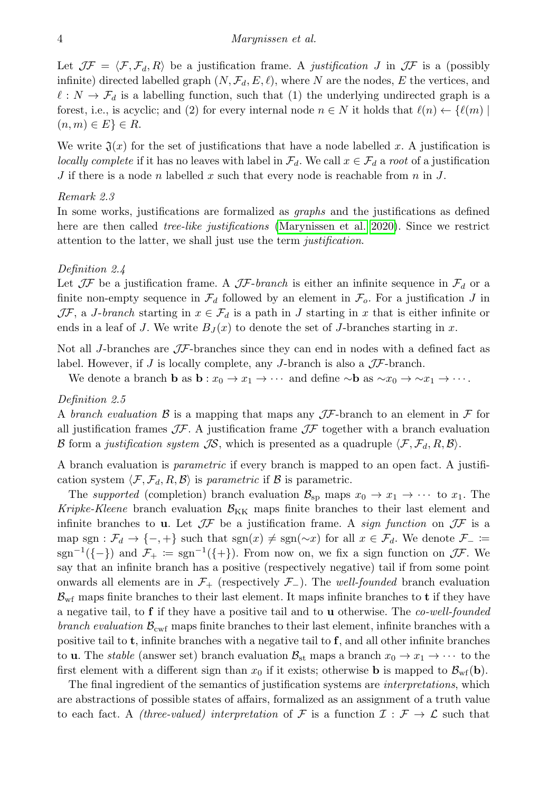Let  $J\mathcal{F} = \langle \mathcal{F}, \mathcal{F}_d, R \rangle$  be a justification frame. A justification J in  $J\mathcal{F}$  is a (possibly infinite) directed labelled graph  $(N, \mathcal{F}_d, E, \ell)$ , where N are the nodes, E the vertices, and  $\ell : N \to \mathcal{F}_d$  is a labelling function, such that (1) the underlying undirected graph is a forest, i.e., is acyclic; and (2) for every internal node  $n \in N$  it holds that  $\ell(n) \leftarrow {\ell(m)}$  $(n, m) \in E$   $\in R$ .

We write  $\mathfrak{J}(x)$  for the set of justifications that have a node labelled x. A justification is locally complete if it has no leaves with label in  $\mathcal{F}_d$ . We call  $x \in \mathcal{F}_d$  a root of a justification J if there is a node n labelled x such that every node is reachable from n in J.

#### Remark 2.3

In some works, justifications are formalized as graphs and the justifications as defined here are then called *tree-like justifications* [\(Marynissen et al. 2020\)](#page-15-8). Since we restrict attention to the latter, we shall just use the term *justification*.

### Definition 2.4

Let  $J\mathcal{F}$  be a justification frame. A  $J\mathcal{F}$ -branch is either an infinite sequence in  $\mathcal{F}_d$  or a finite non-empty sequence in  $\mathcal{F}_d$  followed by an element in  $\mathcal{F}_o$ . For a justification J in  $J\mathcal{F}$ , a *J*-branch starting in  $x \in \mathcal{F}_d$  is a path in *J* starting in x that is either infinite or ends in a leaf of J. We write  $B_J(x)$  to denote the set of J-branches starting in x.

Not all *J*-branches are  $J\mathcal{F}$ -branches since they can end in nodes with a defined fact as label. However, if J is locally complete, any J-branch is also a  $\mathcal{J}$ -branch.

We denote a branch **b** as  $\mathbf{b}: x_0 \to x_1 \to \cdots$  and define  $\sim \mathbf{b}$  as  $\sim x_0 \to \sim x_1 \to \cdots$ .

Definition 2.5

A branch evaluation B is a mapping that maps any JF-branch to an element in F for all justification frames  $J\mathcal{F}$ . A justification frame  $J\mathcal{F}$  together with a branch evaluation B form a justification system JS, which is presented as a quadruple  $\langle F, \mathcal{F}_d, R, \mathcal{B} \rangle$ .

A branch evaluation is parametric if every branch is mapped to an open fact. A justification system  $\langle \mathcal{F}, \mathcal{F}_d, R, \mathcal{B} \rangle$  is parametric if  $\mathcal B$  is parametric.

The supported (completion) branch evaluation  $\mathcal{B}_{\text{sp}}$  maps  $x_0 \to x_1 \to \cdots$  to  $x_1$ . The Kripke-Kleene branch evaluation  $\mathcal{B}_{KK}$  maps finite branches to their last element and infinite branches to **u**. Let  $J\mathcal{F}$  be a justification frame. A *sign function* on  $J\mathcal{F}$  is a map sgn :  $\mathcal{F}_d \to \{-, +\}$  such that sgn $(x) \neq \text{sgn}(\sim x)$  for all  $x \in \mathcal{F}_d$ . We denote  $\mathcal{F}_- :=$ sgn<sup>-1</sup>({-}) and  $\mathcal{F}_+ := \text{sgn}^{-1}(\{+\})$ . From now on, we fix a sign function on  $\mathcal{J}\mathcal{F}$ . We say that an infinite branch has a positive (respectively negative) tail if from some point onwards all elements are in  $\mathcal{F}_+$  (respectively  $\mathcal{F}_-$ ). The well-founded branch evaluation  $B_{\rm wf}$  maps finite branches to their last element. It maps infinite branches to **t** if they have a negative tail, to **f** if they have a positive tail and to **u** otherwise. The co-well-founded branch evaluation  $\mathcal{B}_{\text{cwt}}$  maps finite branches to their last element, infinite branches with a positive tail to t, infinite branches with a negative tail to f, and all other infinite branches to **u**. The *stable* (answer set) branch evaluation  $\mathcal{B}_{st}$  maps a branch  $x_0 \to x_1 \to \cdots$  to the first element with a different sign than  $x_0$  if it exists; otherwise **b** is mapped to  $\mathcal{B}_{\rm wf}(\mathbf{b})$ .

The final ingredient of the semantics of justification systems are *interpretations*, which are abstractions of possible states of affairs, formalized as an assignment of a truth value to each fact. A *(three-valued)* interpretation of F is a function  $\mathcal{I}: \mathcal{F} \to \mathcal{L}$  such that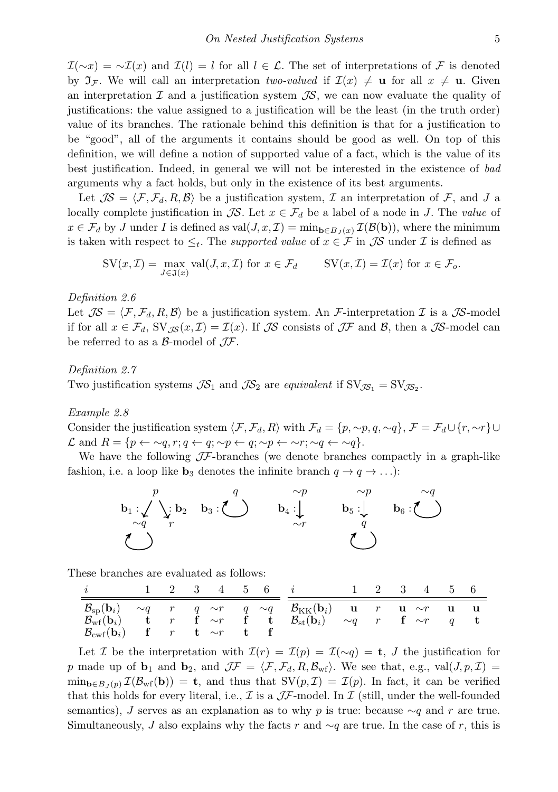$\mathcal{I}(\sim x) = \sim \mathcal{I}(x)$  and  $\mathcal{I}(l) = l$  for all  $l \in \mathcal{L}$ . The set of interpretations of F is denoted by  $\mathfrak{I}_\mathcal{F}$ . We will call an interpretation two-valued if  $\mathcal{I}(x) \neq \mathbf{u}$  for all  $x \neq \mathbf{u}$ . Given an interpretation  $\mathcal I$  and a justification system  $\mathcal I$ S, we can now evaluate the quality of justifications: the value assigned to a justification will be the least (in the truth order) value of its branches. The rationale behind this definition is that for a justification to be "good", all of the arguments it contains should be good as well. On top of this definition, we will define a notion of supported value of a fact, which is the value of its best justification. Indeed, in general we will not be interested in the existence of bad arguments why a fact holds, but only in the existence of its best arguments.

Let  $\mathcal{IS} = \langle \mathcal{F}, \mathcal{F}_d, R, \mathcal{B} \rangle$  be a justification system, I an interpretation of F, and J a locally complete justification in  $\mathcal{JS}$ . Let  $x \in \mathcal{F}_d$  be a label of a node in J. The value of  $x \in \mathcal{F}_d$  by J under I is defined as val $(J, x, \mathcal{I}) = \min_{\mathbf{b} \in B_J(x)} \mathcal{I}(\mathcal{B}(\mathbf{b}))$ , where the minimum is taken with respect to  $\leq_t$ . The *supported value* of  $x \in \mathcal{F}$  in  $\mathcal{J}S$  under  $\mathcal{I}$  is defined as

$$
SV(x, \mathcal{I}) = \max_{J \in \mathfrak{J}(x)} \text{val}(J, x, \mathcal{I}) \text{ for } x \in \mathcal{F}_d \qquad SV(x, \mathcal{I}) = \mathcal{I}(x) \text{ for } x \in \mathcal{F}_o.
$$

Definition 2.6

Let  $J\mathcal{S} = \langle \mathcal{F}, \mathcal{F}_d, R, \mathcal{B} \rangle$  be a justification system. An F-interpretation I is a JS-model if for all  $x \in \mathcal{F}_d$ ,  $SV_{\mathcal{IS}}(x, \mathcal{I}) = \mathcal{I}(x)$ . If  $\mathcal{IS}$  consists of  $\mathcal{IF}$  and  $\mathcal{B}$ , then a  $\mathcal{IS}$ -model can be referred to as a  $\beta$ -model of  $J\mathcal{F}$ .

## Definition 2.7

Two justification systems  $\mathcal{JS}_1$  and  $\mathcal{JS}_2$  are equivalent if  $SV_{\mathcal{JS}_1} = SV_{\mathcal{JS}_2}$ .

<span id="page-4-0"></span>Example 2.8

Consider the justification system  $\langle \mathcal{F}, \mathcal{F}_d, R \rangle$  with  $\mathcal{F}_d = \{p, \sim p, q, \sim q\}, \mathcal{F} = \mathcal{F}_d \cup \{r, \sim r\} \cup$  $\mathcal L$  and  $R = \{p \leftarrow \sim q, r; q \leftarrow q; \sim p \leftarrow q; \sim p \leftarrow \sim r; \sim q \leftarrow \sim q\}.$ 

We have the following  $J\mathcal{F}$ -branches (we denote branches compactly in a graph-like fashion, i.e. a loop like  $\mathbf{b}_3$  denotes the infinite branch  $q \to q \to \ldots$ :



These branches are evaluated as follows:

| $\hat{i}$                                                                                                                                        |   |            |  | 2 3 4 5 6 i                                                                                                                                                              | $\sim 2$ | 3 4 5 6 |  |
|--------------------------------------------------------------------------------------------------------------------------------------------------|---|------------|--|--------------------------------------------------------------------------------------------------------------------------------------------------------------------------|----------|---------|--|
| $\mathcal{B}_{\text{sp}}(\mathbf{b}_i) \quad \sim q$<br>$\mathcal{B}_{\rm wf}^{\rm F}(\textbf{b}_i)$<br>$\mathcal{B}_{\text{cwf}}(\mathbf{b}_i)$ | r | t $\sim r$ |  | $r$ q $\sim r$ q $\sim q$ $\mathcal{B}_{\text{KK}}(\textbf{b}_i)$ u $r$ u $\sim r$ u<br>${\bf t}$ r f $\sim r$ f t ${\cal B}_\text{st}({\bf b}_i)$ $\sim q$ r f $\sim r$ |          |         |  |

Let I be the interpretation with  $\mathcal{I}(r) = \mathcal{I}(p) = \mathcal{I}(\sim q) = \mathbf{t}, J$  the justification for p made up of  $\mathbf{b}_1$  and  $\mathbf{b}_2$ , and  $\mathcal{J}F = \langle F, \mathcal{F}_d, R, \mathcal{B}_{\text{wf}}\rangle$ . We see that, e.g., val $(J, p, \mathcal{I})$  =  $\min_{\mathbf{b}\in B_J(p)} \mathcal{I}(\mathcal{B}_{\text{wf}}(\mathbf{b})) = \mathbf{t}$ , and thus that  $\text{SV}(p, \mathcal{I}) = \mathcal{I}(p)$ . In fact, it can be verified that this holds for every literal, i.e.,  $\mathcal I$  is a  $\mathcal J\mathcal F$ -model. In  $\mathcal I$  (still, under the well-founded semantics), J serves as an explanation as to why p is true: because  $\sim q$  and r are true. Simultaneously, J also explains why the facts r and  $\sim q$  are true. In the case of r, this is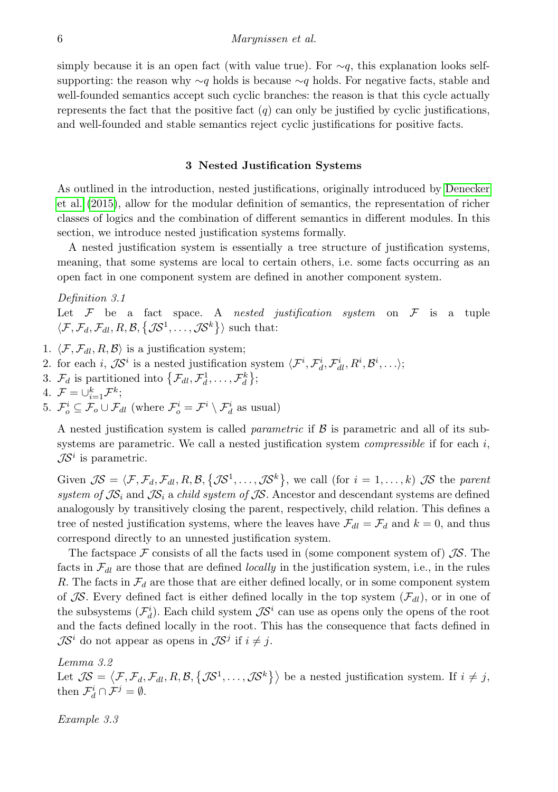simply because it is an open fact (with value true). For  $\sim q$ , this explanation looks selfsupporting: the reason why  $\sim q$  holds is because  $\sim q$  holds. For negative facts, stable and well-founded semantics accept such cyclic branches: the reason is that this cycle actually represents the fact that the positive fact  $(q)$  can only be justified by cyclic justifications, and well-founded and stable semantics reject cyclic justifications for positive facts.

#### 3 Nested Justification Systems

<span id="page-5-0"></span>As outlined in the introduction, nested justifications, originally introduced by [Denecker](#page-15-0) [et al. \(2015\)](#page-15-0), allow for the modular definition of semantics, the representation of richer classes of logics and the combination of different semantics in different modules. In this section, we introduce nested justification systems formally.

A nested justification system is essentially a tree structure of justification systems, meaning, that some systems are local to certain others, i.e. some facts occurring as an open fact in one component system are defined in another component system.

<span id="page-5-2"></span>Definition 3.1

Let  $\mathcal F$  be a fact space. A nested justification system on  $\mathcal F$  is a tuple  $\langle \mathcal{F}, \mathcal{F}_d, \mathcal{F}_{dl}, R, \mathcal{B}, \{\mathcal{J}\mathcal{S}^1, \dots, \mathcal{J}\mathcal{S}^k\}\rangle$  such that:

- 1.  $\langle \mathcal{F}, \mathcal{F}_{dl}, R, \mathcal{B} \rangle$  is a justification system;
- 2. for each *i*,  $\mathcal{J}S^i$  is a nested justification system  $\langle \mathcal{F}^i, \mathcal{F}^i_d, \mathcal{F}^i_d, R^i, \mathcal{B}^i, \ldots \rangle$ ;
- 3.  $\mathcal{F}_d$  is partitioned into  $\{\mathcal{F}_{dl}, \mathcal{F}_d^1, \ldots, \mathcal{F}_d^k\};$
- 4.  $\mathcal{F} = \cup_{i=1}^k \mathcal{F}^k;$
- 5.  $\mathcal{F}_o^i \subseteq \mathcal{F}_o \cup \mathcal{F}_{dl}$  (where  $\mathcal{F}_o^i = \mathcal{F}^i \setminus \mathcal{F}_d^i$  as usual)

A nested justification system is called *parametric* if  $\beta$  is parametric and all of its subsystems are parametric. We call a nested justification system *compressible* if for each  $i$ ,  $\mathcal{IS}^i$  is parametric.

Given  $J\mathcal{S} = \langle \mathcal{F}, \mathcal{F}_d, \mathcal{F}_{dl}, R, \mathcal{B}, \{\mathcal{J}\mathcal{S}^1, \dots, \mathcal{J}\mathcal{S}^k\},\$ we call (for  $i = 1, \dots, k$ )  $\mathcal{J}\mathcal{S}$  the parent system of  $\mathcal{JS}_i$  and  $\mathcal{JS}_i$  a child system of  $\mathcal{JS}$ . Ancestor and descendant systems are defined analogously by transitively closing the parent, respectively, child relation. This defines a tree of nested justification systems, where the leaves have  $\mathcal{F}_{dl} = \mathcal{F}_{d}$  and  $k = 0$ , and thus correspond directly to an unnested justification system.

The factspace  $\mathcal F$  consists of all the facts used in (some component system of)  $\mathcal TS$ . The facts in  $\mathcal{F}_{dl}$  are those that are defined locally in the justification system, i.e., in the rules R. The facts in  $\mathcal{F}_d$  are those that are either defined locally, or in some component system of JS. Every defined fact is either defined locally in the top system  $(\mathcal{F}_{d_l})$ , or in one of the subsystems  $(\mathcal{F}_d^i)$ . Each child system  $\mathcal{IS}^i$  can use as opens only the opens of the root and the facts defined locally in the root. This has the consequence that facts defined in  $\mathcal{JS}^i$  do not appear as opens in  $\mathcal{JS}^j$  if  $i \neq j$ .

Lemma 3.2 Let  $\mathcal{JS} = \langle \mathcal{F}, \mathcal{F}_d, \mathcal{F}_{dl}, R, \mathcal{B}, \{\mathcal{JS}^1, \ldots, \mathcal{JS}^k\}\rangle$  be a nested justification system. If  $i \neq j$ , then  $\mathcal{F}_d^i \cap \mathcal{F}^j = \emptyset$ .

<span id="page-5-1"></span>Example 3.3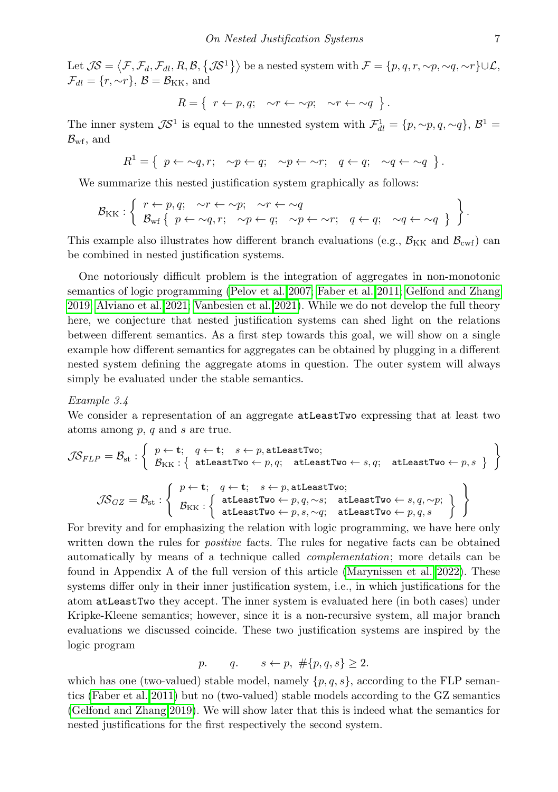Let  $\mathcal{JS} = \left\langle \mathcal{F}, \mathcal{F}_d, \mathcal{F}_{dl}, R, \mathcal{B}, \left\{ \mathcal{JS}^1 \right\} \right\rangle$  be a nested system with  $\mathcal{F} = \{p, q, r, \sim p, \sim q, \sim r\} \cup \mathcal{L},$  $\mathcal{F}_{dl} = \{r, \sim r\}, \mathcal{B} = \mathcal{B}_{KK}$ , and

$$
R = \{ r \leftarrow p, q; \quad \sim r \leftarrow \sim p; \quad \sim r \leftarrow \sim q \}.
$$

The inner system  $\mathcal{J}S^1$  is equal to the unnested system with  $\mathcal{F}_{dl}^1 = \{p, \sim p, q, \sim q\}, \mathcal{B}^1 =$  $\mathcal{B}_{\text{wf}},$  and

$$
R^1 = \left\{ p \leftarrow \sim q, r; \quad \sim p \leftarrow q; \quad \sim p \leftarrow \sim r; \quad q \leftarrow q; \quad \sim q \leftarrow \sim q \right\}.
$$

We summarize this nested justification system graphically as follows:

$$
\mathcal{B}_{KK}: \left\{ \begin{array}{ll} r \leftarrow p, q; & \sim r \leftarrow \sim p; & \sim r \leftarrow \sim q \\ \mathcal{B}_{wf} \left\{ p \leftarrow \sim q, r; & \sim p \leftarrow q; & \sim p \leftarrow \sim r; & q \leftarrow q; & \sim q \leftarrow \sim q \right\} \end{array} \right\} \right\}.
$$

This example also illustrates how different branch evaluations (e.g.,  $B_{KK}$  and  $B_{\text{cwf}}$ ) can be combined in nested justification systems.

One notoriously difficult problem is the integration of aggregates in non-monotonic semantics of logic programming [\(Pelov et al. 2007;](#page-15-2) [Faber et al. 2011;](#page-15-3) [Gelfond and Zhang](#page-15-4) [2019;](#page-15-4) [Alviano et al. 2021;](#page-15-5) [Vanbesien et al. 2021\)](#page-15-6). While we do not develop the full theory here, we conjecture that nested justification systems can shed light on the relations between different semantics. As a first step towards this goal, we will show on a single example how different semantics for aggregates can be obtained by plugging in a different nested system defining the aggregate atoms in question. The outer system will always simply be evaluated under the stable semantics.

### <span id="page-6-0"></span>Example 3.4

We consider a representation of an aggregate **atLeastTwo** expressing that at least two atoms among  $p$ ,  $q$  and  $s$  are true.

$$
\mathcal{JS}_{FLP} = \mathcal{B}_{\textrm{st}} : \left\{ \begin{array}{l} p \leftarrow \mathbf{t}; \quad q \leftarrow \mathbf{t}; \quad s \leftarrow p, \texttt{atLeastTwo}; \\ \mathcal{B}_{\textrm{KK}} : \left\{ \begin{array}{l} \texttt{atLeastTwo} \leftarrow p, q; \quad \texttt{atLeastTwo} \leftarrow s, q; \quad \texttt{atLeastTwo} \leftarrow p, s \end{array} \right\} \right. \right\} \\ \mathcal{JS}_{GZ} = \mathcal{B}_{\textrm{st}} : \left\{ \begin{array}{l} p \leftarrow \mathbf{t}; \quad q \leftarrow \mathbf{t}; \quad s \leftarrow p, \texttt{atLeastTwo}; \\ \mathcal{B}_{\textrm{KK}} : \left\{ \begin{array}{l} \texttt{atLeastTwo} \leftarrow p, q, \sim s; \quad \texttt{atLeastTwo} \leftarrow s, q, \sim p; \\ \texttt{atLeastTwo} \leftarrow p, s, \sim q; \quad \texttt{atLeastTwo} \leftarrow p, q, s \end{array} \right. \right) \end{array} \right\} \right\}
$$

For brevity and for emphasizing the relation with logic programming, we have here only written down the rules for *positive* facts. The rules for negative facts can be obtained automatically by means of a technique called complementation; more details can be found in Appendix A of the full version of this article [\(Marynissen et al. 2022\)](#page-15-9). These systems differ only in their inner justification system, i.e., in which justifications for the atom atLeastTwo they accept. The inner system is evaluated here (in both cases) under Kripke-Kleene semantics; however, since it is a non-recursive system, all major branch evaluations we discussed coincide. These two justification systems are inspired by the logic program

$$
p. \qquad q. \qquad s \leftarrow p, \ \# \{p, q, s\} \ge 2.
$$

which has one (two-valued) stable model, namely  $\{p, q, s\}$ , according to the FLP semantics [\(Faber et al. 2011\)](#page-15-3) but no (two-valued) stable models according to the GZ semantics [\(Gelfond and Zhang 2019\)](#page-15-4). We will show later that this is indeed what the semantics for nested justifications for the first respectively the second system.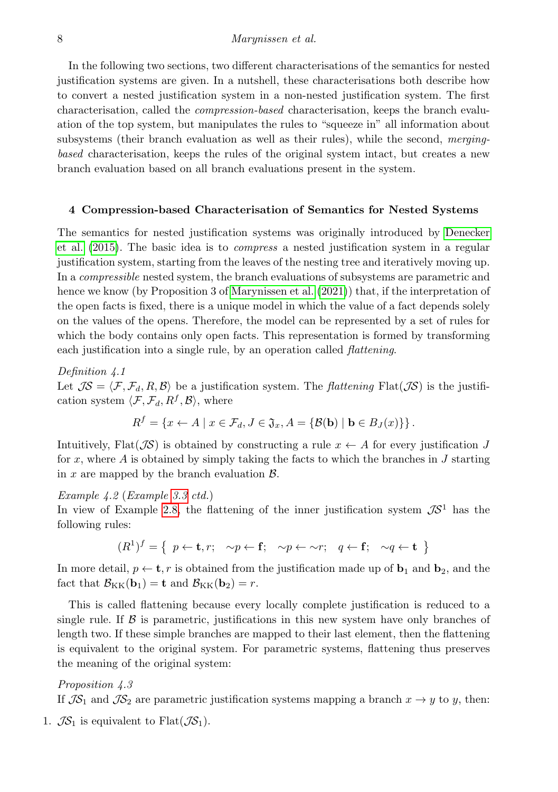## 8 Marynissen et al.

In the following two sections, two different characterisations of the semantics for nested justification systems are given. In a nutshell, these characterisations both describe how to convert a nested justification system in a non-nested justification system. The first characterisation, called the compression-based characterisation, keeps the branch evaluation of the top system, but manipulates the rules to "squeeze in" all information about subsystems (their branch evaluation as well as their rules), while the second, mergingbased characterisation, keeps the rules of the original system intact, but creates a new branch evaluation based on all branch evaluations present in the system.

## <span id="page-7-0"></span>4 Compression-based Characterisation of Semantics for Nested Systems

The semantics for nested justification systems was originally introduced by [Denecker](#page-15-0) [et al. \(2015\)](#page-15-0). The basic idea is to compress a nested justification system in a regular justification system, starting from the leaves of the nesting tree and iteratively moving up. In a *compressible* nested system, the branch evaluations of subsystems are parametric and hence we know (by Proposition 3 of [Marynissen et al. \(2021\)](#page-15-10)) that, if the interpretation of the open facts is fixed, there is a unique model in which the value of a fact depends solely on the values of the opens. Therefore, the model can be represented by a set of rules for which the body contains only open facts. This representation is formed by transforming each justification into a single rule, by an operation called *flattening*.

Definition 4.1

Let  $J\mathcal{S} = \langle \mathcal{F}, \mathcal{F}_d, R, \mathcal{B} \rangle$  be a justification system. The *flattening* Flat( $J\mathcal{S}$ ) is the justification system  $\langle \mathcal{F}, \mathcal{F}_d, R^f, \mathcal{B} \rangle$ , where

$$
R^{f} = \{x \leftarrow A \mid x \in \mathcal{F}_d, J \in \mathfrak{J}_x, A = \{ \mathcal{B}(\mathbf{b}) \mid \mathbf{b} \in B_J(x) \} \}.
$$

Intuitively, Flat( $\mathcal{J}S$ ) is obtained by constructing a rule  $x \leftarrow A$  for every justification J for x, where A is obtained by simply taking the facts to which the branches in J starting in x are mapped by the branch evaluation  $\beta$ .

## <span id="page-7-1"></span>Example 4.2 (Example [3.3](#page-5-1) ctd.)

In view of Example [2.8,](#page-4-0) the flattening of the inner justification system  $\mathcal{J}S^1$  has the following rules:

$$
(R^1)^f = \{ p \leftarrow \mathbf{t}, r; \sim p \leftarrow \mathbf{f}; \sim p \leftarrow \sim r; q \leftarrow \mathbf{f}; \sim q \leftarrow \mathbf{t} \}
$$

In more detail,  $p \leftarrow \mathbf{t}, r$  is obtained from the justification made up of  $\mathbf{b}_1$  and  $\mathbf{b}_2$ , and the fact that  $\mathcal{B}_{KK}(\mathbf{b}_1) = \mathbf{t}$  and  $\mathcal{B}_{KK}(\mathbf{b}_2) = r$ .

This is called flattening because every locally complete justification is reduced to a single rule. If  $\beta$  is parametric, justifications in this new system have only branches of length two. If these simple branches are mapped to their last element, then the flattening is equivalent to the original system. For parametric systems, flattening thus preserves the meaning of the original system:

## <span id="page-7-2"></span>Proposition 4.3

If  $\mathcal{IS}_1$  and  $\mathcal{IS}_2$  are parametric justification systems mapping a branch  $x \to y$  to y, then:

1.  $\mathcal{JS}_1$  is equivalent to Flat $(\mathcal{JS}_1)$ .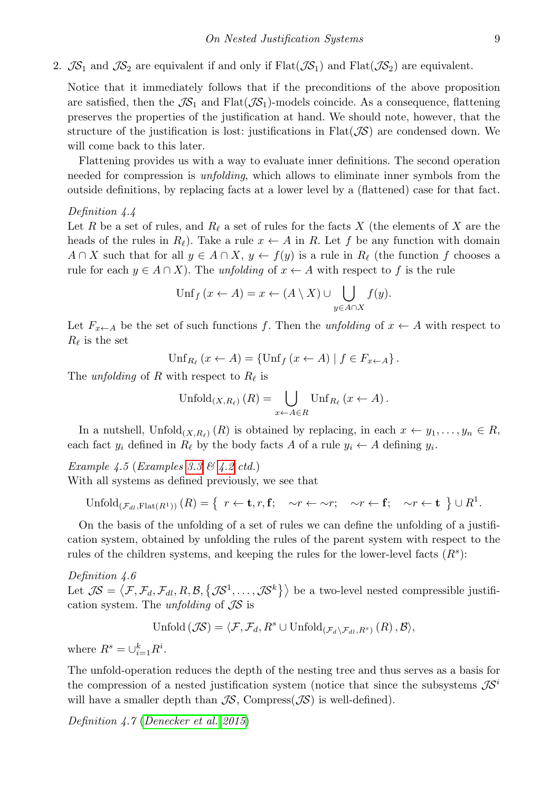2.  $\mathcal{IS}_1$  and  $\mathcal{IS}_2$  are equivalent if and only if Flat( $\mathcal{IS}_1$ ) and Flat( $\mathcal{IS}_2$ ) are equivalent.

Notice that it immediately follows that if the preconditions of the above proposition are satisfied, then the  $\mathcal{IS}_1$  and  $Flat(\mathcal{IS}_1)$ -models coincide. As a consequence, flattening preserves the properties of the justification at hand. We should note, however, that the structure of the justification is lost: justifications in  $Flat(\mathcal{JS})$  are condensed down. We will come back to this later.

Flattening provides us with a way to evaluate inner definitions. The second operation needed for compression is unfolding, which allows to eliminate inner symbols from the outside definitions, by replacing facts at a lower level by a (flattened) case for that fact.

#### Definition 4.4

Let R be a set of rules, and  $R_\ell$  a set of rules for the facts X (the elements of X are the heads of the rules in  $R_\ell$ ). Take a rule  $x \leftarrow A$  in R. Let f be any function with domain  $A \cap X$  such that for all  $y \in A \cap X$ ,  $y \leftarrow f(y)$  is a rule in  $R_\ell$  (the function f chooses a rule for each  $y \in A \cap X$ ). The unfolding of  $x \leftarrow A$  with respect to f is the rule

$$
\operatorname{Unf}_{f}(x \leftarrow A) = x \leftarrow (A \setminus X) \cup \bigcup_{y \in A \cap X} f(y).
$$

Let  $F_{x \leftarrow A}$  be the set of such functions f. Then the unfolding of  $x \leftarrow A$  with respect to  $R_{\ell}$  is the set

$$
\mathrm{Unf}_{R_{\ell}}(x \leftarrow A) = \{ \mathrm{Unf}_{f}(x \leftarrow A) \mid f \in F_{x \leftarrow A} \}.
$$

The *unfolding* of R with respect to  $R_\ell$  is

$$
\mathrm{Unfold}_{(X,R_{\ell})}(R) = \bigcup_{x \leftarrow A \in R} \mathrm{Unf}_{R_{\ell}}(x \leftarrow A).
$$

In a nutshell,  $\text{Unfold}_{(X,R_\ell)}(R)$  is obtained by replacing, in each  $x \leftarrow y_1, \ldots, y_n \in R$ , each fact  $y_i$  defined in  $R_\ell$  by the body facts A of a rule  $y_i \leftarrow A$  defining  $y_i$ .

<span id="page-8-0"></span>Example 4.5 (Examples [3.3](#page-5-1)  $\mathcal{B}$  [4.2](#page-7-1) ctd.)

With all systems as defined previously, we see that

$$
\mathrm{Unfold}_{(\mathcal{F}_{dl}, \mathrm{Flat}(R^1))}(R) = \{ \ r \leftarrow \mathbf{t}, r, \mathbf{f}; \quad \sim r \leftarrow \sim r; \quad \sim r \leftarrow \mathbf{f}; \quad \sim r \leftarrow \mathbf{t} \} \cup R^1.
$$

On the basis of the unfolding of a set of rules we can define the unfolding of a justification system, obtained by unfolding the rules of the parent system with respect to the rules of the children systems, and keeping the rules for the lower-level facts  $(R<sup>s</sup>)$ :

Definition 4.6 Let  $\mathcal{IS} = \langle \mathcal{F}, \mathcal{F}_d, \mathcal{F}_{dl}, R, \mathcal{B}, \{\mathcal{IS}^1, \ldots, \mathcal{IS}^k\}\rangle$  be a two-level nested compressible justification system. The unfolding of  $\mathcal{J}\mathcal{S}$  is

$$
\text{Unfold}\left(\mathcal{JS}\right) = \langle \mathcal{F}, \mathcal{F}_d, R^s \cup \text{Unfold}_{\left(\mathcal{F}_d \setminus \mathcal{F}_{dl}, R^s\right)}\left(R\right), \mathcal{B}\rangle,
$$

where  $R^s = \bigcup_{i=1}^k R^i$ .

The unfold-operation reduces the depth of the nesting tree and thus serves as a basis for the compression of a nested justification system (notice that since the subsystems  $\mathcal{J}S^i$ will have a smaller depth than  $\mathcal{IS}$ , Compress( $\mathcal{IS}$ ) is well-defined).

Definition 4.7 ([Denecker et al. 2015](#page-15-0))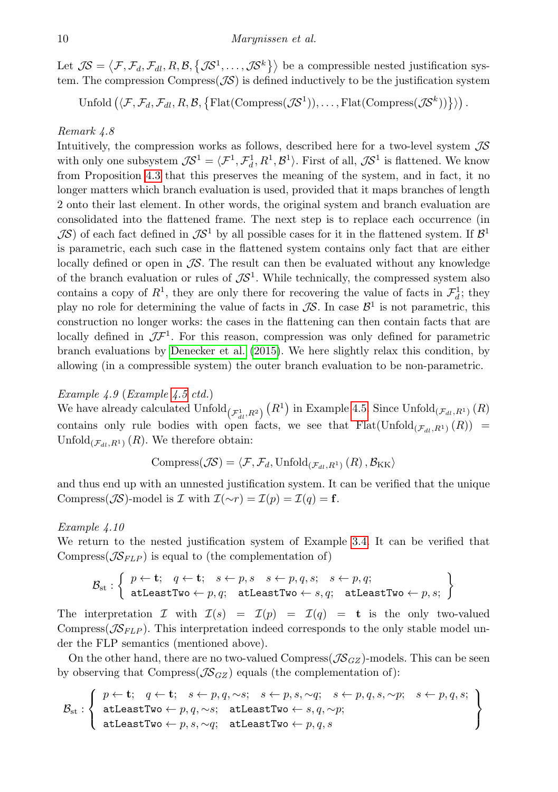Let  $\mathcal{JS} = \langle \mathcal{F}, \mathcal{F}_d, \mathcal{F}_{dl}, R, \mathcal{B}, \{ \mathcal{JS}^1, \dots, \mathcal{JS}^k \} \rangle$  be a compressible nested justification system. The compression Compress $(\mathcal{J}\mathcal{S})$  is defined inductively to be the justification system

 $\operatorname{Unfold}\big(\langle \mathcal{F}, \mathcal{F}_d, \mathcal{F}_{dl}, R, \mathcal{B}, \big\{ \operatorname{Flat}(\mathrm{Compress}(\mathcal{J\!S}^1)), \ldots, \operatorname{Flat}(\mathrm{Compress}(\mathcal{J\!S}^k)) \big\} \rangle \big) \,.$ 

## <span id="page-9-0"></span>Remark 4.8

Intuitively, the compression works as follows, described here for a two-level system  $\mathcal{IS}$ with only one subsystem  $JS^1 = \langle \mathcal{F}^1, \mathcal{F}_d^1, R^1, \mathcal{B}^1 \rangle$ . First of all,  $JS^1$  is flattened. We know from Proposition [4.3](#page-7-2) that this preserves the meaning of the system, and in fact, it no longer matters which branch evaluation is used, provided that it maps branches of length 2 onto their last element. In other words, the original system and branch evaluation are consolidated into the flattened frame. The next step is to replace each occurrence (in  $\mathcal{J}\mathcal{S}$ ) of each fact defined in  $\mathcal{J}\mathcal{S}^1$  by all possible cases for it in the flattened system. If  $\mathcal{B}^1$ is parametric, each such case in the flattened system contains only fact that are either locally defined or open in  $\mathcal{J}S$ . The result can then be evaluated without any knowledge of the branch evaluation or rules of  $\mathcal{I}S^1$ . While technically, the compressed system also contains a copy of  $R^1$ , they are only there for recovering the value of facts in  $\mathcal{F}^1_d$ ; they play no role for determining the value of facts in  $\mathcal{J}S$ . In case  $\mathcal{B}^1$  is not parametric, this construction no longer works: the cases in the flattening can then contain facts that are locally defined in  $J\mathcal{F}^1$ . For this reason, compression was only defined for parametric branch evaluations by [Denecker et al. \(2015\)](#page-15-0). We here slightly relax this condition, by allowing (in a compressible system) the outer branch evaluation to be non-parametric.

## Example 4.9 (Example [4.5](#page-8-0) ctd.)

We have already calculated  $\mathrm{Unfold}_{(\mathcal{F}_{dl}^{1},R^2)}(R^1)$  in Example [4.5.](#page-8-0) Since  $\mathrm{Unfold}_{(\mathcal{F}_{dl},R^1)}(R)$ contains only rule bodies with open facts, we see that  $Flat(Unfold_{(\mathcal{F}_{d},R^{1})}(R))$  = Unfold<sub> $(\mathcal{F}_{dt},R^{1})$ </sub>  $(R)$ . We therefore obtain:

Compress $(\mathcal{JS}) = \langle \mathcal{F}, \mathcal{F}_d, \text{Unfold}_{(\mathcal{F}_d,R^1)}(R), \mathcal{B}_{\text{KK}}\rangle$ 

and thus end up with an unnested justification system. It can be verified that the unique Compress( $\mathcal{J}\mathcal{S}$ )-model is  $\mathcal I$  with  $\mathcal{I}(\sim r) = \mathcal{I}(p) = \mathcal{I}(q) = \mathbf{f}$ .

### Example 4.10

We return to the nested justification system of Example [3.4.](#page-6-0) It can be verified that Compress( $\mathcal{J}\mathcal{S}_{FLP}$ ) is equal to (the complementation of)

$$
\mathcal{B}_{\text{st}}: \left\{\begin{array}{l} p \leftarrow \textbf{t}; \quad q \leftarrow \textbf{t}; \quad s \leftarrow p, s \quad s \leftarrow p, q, s; \quad s \leftarrow p, q; \\ \texttt{atLeastTwo} \leftarrow p, q; \quad \texttt{atLeastTwo} \leftarrow s, q; \quad \texttt{atLeastTwo} \leftarrow p, s; \end{array}\right\}
$$

The interpretation I with  $\mathcal{I}(s) = \mathcal{I}(p) = \mathcal{I}(q) = \mathbf{t}$  is the only two-valued Compress( $\mathcal{J}\mathcal{S}_{FLP}$ ). This interpretation indeed corresponds to the only stable model under the FLP semantics (mentioned above).

On the other hand, there are no two-valued Compress( $\mathcal{JS}_{GZ}$ )-models. This can be seen by observing that Compress( $\mathcal{JS}_{GZ}$ ) equals (the complementation of):

$$
\mathcal{B}_{st}: \left\{\begin{array}{l} p \leftarrow t; \quad q \leftarrow t; \quad s \leftarrow p, q, \sim s; \quad s \leftarrow p, s, \sim q; \quad s \leftarrow p, q, s, \sim p; \quad s \leftarrow p, q, s; \\ \texttt{atLeastTwo} \leftarrow p, q, \sim s; \quad \texttt{atLeastTwo} \leftarrow s, q, \sim p; \\ \texttt{atLeastTwo} \leftarrow p, s, \sim q; \quad \texttt{atLeastTwo} \leftarrow p, q, s \end{array}\right\}\right\}
$$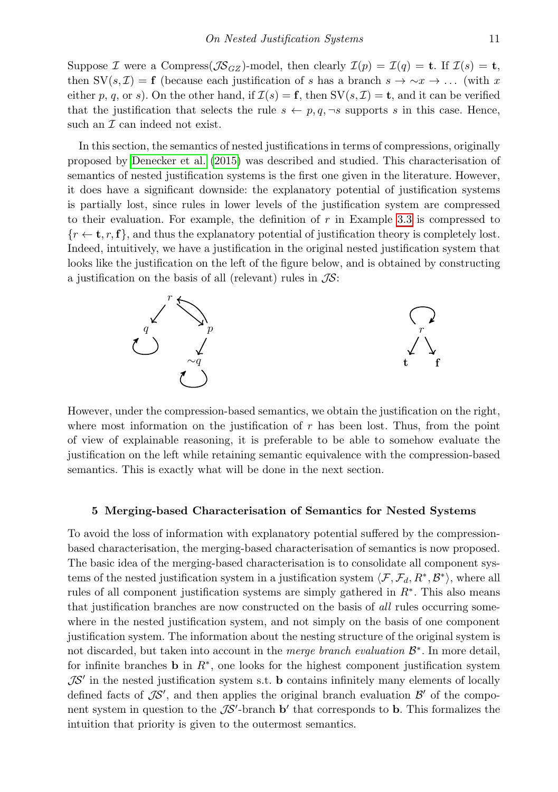Suppose I were a Compress  $(\mathcal{J}S_{GZ})$ -model, then clearly  $\mathcal{I}(p) = \mathcal{I}(q) = \mathbf{t}$ . If  $\mathcal{I}(s) = \mathbf{t}$ , then SV(s, I) = f (because each justification of s has a branch s  $\rightarrow \sim x \rightarrow \ldots$  (with x either p, q, or s). On the other hand, if  $\mathcal{I}(s) = \mathbf{f}$ , then  $SV(s, \mathcal{I}) = \mathbf{t}$ , and it can be verified that the justification that selects the rule  $s \leftarrow p, q, \neg s$  supports s in this case. Hence, such an  $\mathcal I$  can indeed not exist.

In this section, the semantics of nested justifications in terms of compressions, originally proposed by [Denecker et al. \(2015\)](#page-15-0) was described and studied. This characterisation of semantics of nested justification systems is the first one given in the literature. However, it does have a significant downside: the explanatory potential of justification systems is partially lost, since rules in lower levels of the justification system are compressed to their evaluation. For example, the definition of  $r$  in Example [3.3](#page-5-1) is compressed to  ${r \leftarrow t, r, f}$ , and thus the explanatory potential of justification theory is completely lost. Indeed, intuitively, we have a justification in the original nested justification system that looks like the justification on the left of the figure below, and is obtained by constructing a justification on the basis of all (relevant) rules in  $\mathcal{JS}$ :



However, under the compression-based semantics, we obtain the justification on the right, where most information on the justification of  $r$  has been lost. Thus, from the point of view of explainable reasoning, it is preferable to be able to somehow evaluate the justification on the left while retaining semantic equivalence with the compression-based semantics. This is exactly what will be done in the next section.

#### <span id="page-10-0"></span>5 Merging-based Characterisation of Semantics for Nested Systems

To avoid the loss of information with explanatory potential suffered by the compressionbased characterisation, the merging-based characterisation of semantics is now proposed. The basic idea of the merging-based characterisation is to consolidate all component systems of the nested justification system in a justification system  $\langle \mathcal{F}, \mathcal{F}_d, R^*, \mathcal{B}^* \rangle$ , where all rules of all component justification systems are simply gathered in  $R^*$ . This also means that justification branches are now constructed on the basis of all rules occurring somewhere in the nested justification system, and not simply on the basis of one component justification system. The information about the nesting structure of the original system is not discarded, but taken into account in the merge branch evaluation  $\mathcal{B}^*$ . In more detail, for infinite branches **b** in  $R^*$ , one looks for the highest component justification system  $\mathcal{J}S'$  in the nested justification system s.t. **b** contains infinitely many elements of locally defined facts of  $\mathcal{IS}'$ , and then applies the original branch evaluation  $\mathcal{B}'$  of the component system in question to the  $\mathcal{IS}'$ -branch  $\mathbf{b}'$  that corresponds to  $\mathbf{b}$ . This formalizes the intuition that priority is given to the outermost semantics.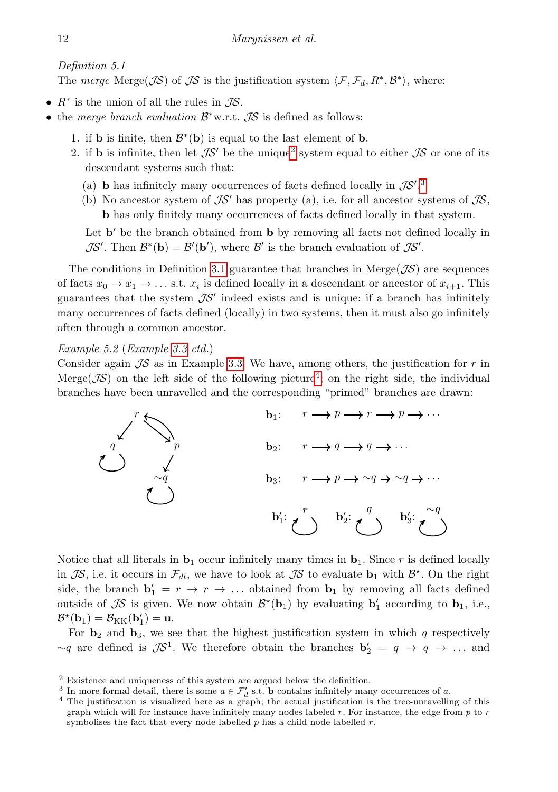Definition 5.1

The merge Merge( $\mathcal{JS}$ ) of  $\mathcal{JS}$  is the justification system  $\langle \mathcal{F}, \mathcal{F}_d, R^*, \mathcal{B}^* \rangle$ , where:

- $R^*$  is the union of all the rules in  $\mathcal{JS}$ .
- the merge branch evaluation  $\mathcal{B}^*$ w.r.t.  $\mathcal{J}\mathcal{S}$  is defined as follows:
	- 1. if **b** is finite, then  $\mathcal{B}^*(b)$  is equal to the last element of **b**.
	- [2](#page-11-0). if **b** is infinite, then let  $\mathcal{IS}'$  be the unique<sup>2</sup> system equal to either  $\mathcal{IS}$  or one of its descendant systems such that:
		- (a) **b** has infinitely many occurrences of facts defined locally in  $\mathcal{IS}'$ .<sup>[3](#page-11-1)</sup>
		- (b) No ancestor system of  $\mathcal{J}S'$  has property (a), i.e. for all ancestor systems of  $\mathcal{J}S$ , b has only finitely many occurrences of facts defined locally in that system.

Let  $\mathbf{b}'$  be the branch obtained from  $\mathbf{b}$  by removing all facts not defined locally in  $\mathcal{J}S'$ . Then  $\mathcal{B}^*(\mathbf{b}) = \mathcal{B}'(\mathbf{b}')$ , where  $\mathcal{B}'$  is the branch evaluation of  $\mathcal{J}S'$ .

The conditions in Definition [3.1](#page-5-2) guarantee that branches in Merge( $\mathcal{J}S$ ) are sequences of facts  $x_0 \to x_1 \to \ldots$  s.t.  $x_i$  is defined locally in a descendant or ancestor of  $x_{i+1}$ . This guarantees that the system  $\mathcal{IS}'$  indeed exists and is unique: if a branch has infinitely many occurrences of facts defined (locally) in two systems, then it must also go infinitely often through a common ancestor.

Example 5.2 (Example [3.3](#page-5-1) ctd.)

Consider again  $\mathcal{J}S$  as in Example [3.3.](#page-5-1) We have, among others, the justification for r in Merge( $\mathcal{J}S$ ) on the left side of the following picture<sup>[4](#page-11-2)</sup>; on the right side, the individual branches have been unravelled and the corresponding "primed" branches are drawn:



Notice that all literals in  $\mathbf{b}_1$  occur infinitely many times in  $\mathbf{b}_1$ . Since r is defined locally in  $\mathcal{IS}$ , i.e. it occurs in  $\mathcal{F}_{dl}$ , we have to look at  $\mathcal{IS}$  to evaluate  $\mathbf{b}_1$  with  $\mathcal{B}^*$ . On the right side, the branch  $\mathbf{b}'_1 = r \rightarrow r \rightarrow \dots$  obtained from  $\mathbf{b}_1$  by removing all facts defined outside of  $\mathcal{IS}$  is given. We now obtain  $\mathcal{B}^{\star}(\mathbf{b}_1)$  by evaluating  $\mathbf{b}'_1$  according to  $\mathbf{b}_1$ , i.e.,  $\mathcal{B}^\star(\mathbf{b}_1) = \mathcal{B}_{\text{KK}}(\mathbf{b}'_1) = \mathbf{u}.$ 

For  $\mathbf{b}_2$  and  $\mathbf{b}_3$ , we see that the highest justification system in which q respectively  $\sim q$  are defined is  $\mathcal{J}S^1$ . We therefore obtain the branches  $\mathbf{b}'_2 = q \rightarrow q \rightarrow \dots$  and

<span id="page-11-0"></span><sup>2</sup> Existence and uniqueness of this system are argued below the definition.

<span id="page-11-1"></span><sup>&</sup>lt;sup>3</sup> In more formal detail, there is some  $a \in \mathcal{F}'_d$  s.t. **b** contains infinitely many occurrences of a.

<span id="page-11-2"></span><sup>&</sup>lt;sup>4</sup> The justification is visualized here as a graph; the actual justification is the tree-unravelling of this graph which will for instance have infinitely many nodes labeled  $r$ . For instance, the edge from  $p$  to  $r$ symbolises the fact that every node labelled  $p$  has a child node labelled  $r$ .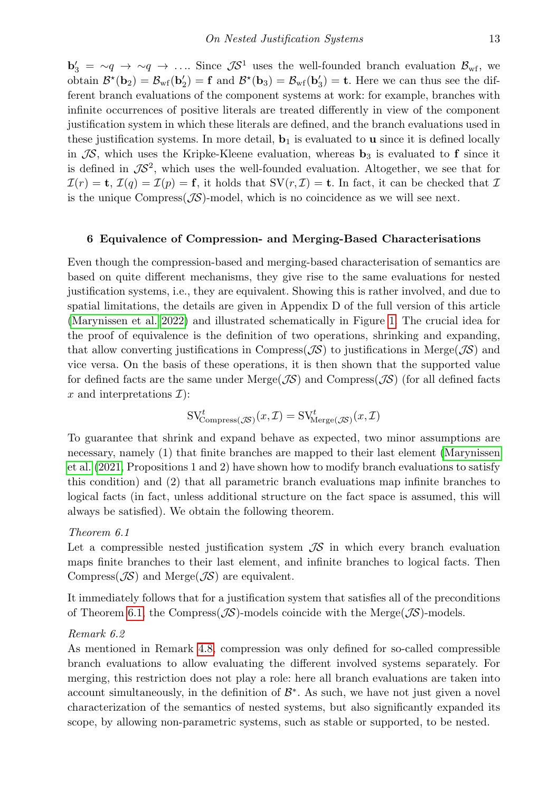$\mathbf{b}'_3 = \mathbf{\sim} q \rightarrow \mathbf{\sim} q \rightarrow \dots$  Since  $\mathcal{J}S^1$  uses the well-founded branch evaluation  $\mathcal{B}_{\text{wf}}$ , we obtain  $\mathcal{B}^{\star}(\mathbf{b}_2) = \mathcal{B}_{\rm wf}(\mathbf{b}'_2) = \mathbf{f}$  and  $\mathcal{B}^{\star}(\mathbf{b}_3) = \mathcal{B}_{\rm wf}(\mathbf{b}'_3) = \mathbf{t}$ . Here we can thus see the different branch evaluations of the component systems at work: for example, branches with infinite occurrences of positive literals are treated differently in view of the component justification system in which these literals are defined, and the branch evaluations used in these justification systems. In more detail,  $\mathbf{b}_1$  is evaluated to **u** since it is defined locally in  $\mathcal{IS}$ , which uses the Kripke-Kleene evaluation, whereas  $\mathbf{b}_3$  is evaluated to f since it is defined in  $\mathcal{IS}^2$ , which uses the well-founded evaluation. Altogether, we see that for  $\mathcal{I}(r) = \mathbf{t}, \mathcal{I}(q) = \mathcal{I}(p) = \mathbf{f}$ , it holds that  $SV(r, \mathcal{I}) = \mathbf{t}$ . In fact, it can be checked that  $\mathcal{I}$ is the unique  $Compress(\mathcal{JS})$ -model, which is no coincidence as we will see next.

#### <span id="page-12-0"></span>6 Equivalence of Compression- and Merging-Based Characterisations

Even though the compression-based and merging-based characterisation of semantics are based on quite different mechanisms, they give rise to the same evaluations for nested justification systems, i.e., they are equivalent. Showing this is rather involved, and due to spatial limitations, the details are given in Appendix D of the full version of this article [\(Marynissen et al. 2022\)](#page-15-9) and illustrated schematically in Figure [1.](#page-13-1) The crucial idea for the proof of equivalence is the definition of two operations, shrinking and expanding, that allow converting justifications in Compress( $\mathcal{J}\mathcal{S}$ ) to justifications in Merge( $\mathcal{J}\mathcal{S}$ ) and vice versa. On the basis of these operations, it is then shown that the supported value for defined facts are the same under Merge( $\mathcal{J}S$ ) and Compress( $\mathcal{J}S$ ) (for all defined facts x and interpretations  $\mathcal{I}$ :

$$
SV^t_{Compress(\mathcal{JS})}(x,\mathcal{I}) = SV^t_{Merge(\mathcal{JS})}(x,\mathcal{I})
$$

To guarantee that shrink and expand behave as expected, two minor assumptions are necessary, namely (1) that finite branches are mapped to their last element [\(Marynissen](#page-15-10) [et al. \(2021,](#page-15-10) Propositions 1 and 2) have shown how to modify branch evaluations to satisfy this condition) and (2) that all parametric branch evaluations map infinite branches to logical facts (in fact, unless additional structure on the fact space is assumed, this will always be satisfied). We obtain the following theorem.

#### <span id="page-12-1"></span>Theorem 6.1

Let a compressible nested justification system  $\mathcal{IS}$  in which every branch evaluation maps finite branches to their last element, and infinite branches to logical facts. Then Compress( $\mathcal{J}\mathcal{S}$ ) and Merge( $\mathcal{J}\mathcal{S}$ ) are equivalent.

It immediately follows that for a justification system that satisfies all of the preconditions of Theorem [6.1,](#page-12-1) the Compress( $\mathcal{JS}$ )-models coincide with the Merge( $\mathcal{JS}$ )-models.

#### Remark 6.2

As mentioned in Remark [4.8,](#page-9-0) compression was only defined for so-called compressible branch evaluations to allow evaluating the different involved systems separately. For merging, this restriction does not play a role: here all branch evaluations are taken into account simultaneously, in the definition of  $\mathcal{B}^*$ . As such, we have not just given a novel characterization of the semantics of nested systems, but also significantly expanded its scope, by allowing non-parametric systems, such as stable or supported, to be nested.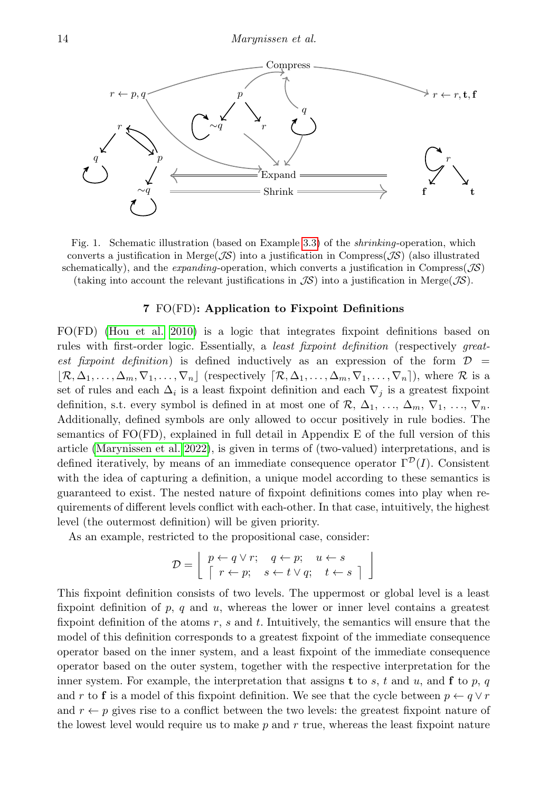

<span id="page-13-1"></span>Fig. 1. Schematic illustration (based on Example [3.3\)](#page-5-1) of the shrinking-operation, which converts a justification in Merge( $\mathcal{J}S$ ) into a justification in Compress( $\mathcal{J}S$ ) (also illustrated schematically), and the *expanding*-operation, which converts a justification in Compress( $\mathcal{J}S$ ) (taking into account the relevant justifications in  $\mathcal{J}\mathcal{S}$ ) into a justification in Merge( $\mathcal{J}\mathcal{S}$ ).

## 7 FO(FD): Application to Fixpoint Definitions

<span id="page-13-0"></span>FO(FD) [\(Hou et al. 2010\)](#page-15-7) is a logic that integrates fixpoint definitions based on rules with first-order logic. Essentially, a *least fixpoint definition* (respectively *great*est fixpoint definition) is defined inductively as an expression of the form  $\mathcal{D}$  =  $\mathcal{R}, \Delta_1, \ldots, \Delta_m, \nabla_1, \ldots, \nabla_n$  (respectively  $\mathcal{R}, \Delta_1, \ldots, \Delta_m, \nabla_1, \ldots, \nabla_n$ ), where R is a set of rules and each  $\Delta_i$  is a least fixpoint definition and each  $\nabla_j$  is a greatest fixpoint definition, s.t. every symbol is defined in at most one of  $\mathcal{R}, \Delta_1, \ldots, \Delta_m, \nabla_1, \ldots, \nabla_n$ . Additionally, defined symbols are only allowed to occur positively in rule bodies. The semantics of FO(FD), explained in full detail in Appendix E of the full version of this article [\(Marynissen et al. 2022\)](#page-15-9), is given in terms of (two-valued) interpretations, and is defined iteratively, by means of an immediate consequence operator  $\Gamma^{\mathcal{D}}(I)$ . Consistent with the idea of capturing a definition, a unique model according to these semantics is guaranteed to exist. The nested nature of fixpoint definitions comes into play when requirements of different levels conflict with each-other. In that case, intuitively, the highest level (the outermost definition) will be given priority.

As an example, restricted to the propositional case, consider:

$$
\mathcal{D} = \left[ \begin{array}{ccc} p \leftarrow q \lor r; & q \leftarrow p; & u \leftarrow s \\ \lceil r \leftarrow p; & s \leftarrow t \lor q; & t \leftarrow s \end{array} \right] \right]
$$

This fixpoint definition consists of two levels. The uppermost or global level is a least fixpoint definition of  $p$ ,  $q$  and  $u$ , whereas the lower or inner level contains a greatest fixpoint definition of the atoms  $r$ ,  $s$  and  $t$ . Intuitively, the semantics will ensure that the model of this definition corresponds to a greatest fixpoint of the immediate consequence operator based on the inner system, and a least fixpoint of the immediate consequence operator based on the outer system, together with the respective interpretation for the inner system. For example, the interpretation that assigns **t** to s, t and u, and **f** to p, q and r to f is a model of this fixpoint definition. We see that the cycle between  $p \leftarrow q \vee r$ and  $r \leftarrow p$  gives rise to a conflict between the two levels: the greatest fixpoint nature of the lowest level would require us to make  $p$  and  $r$  true, whereas the least fixpoint nature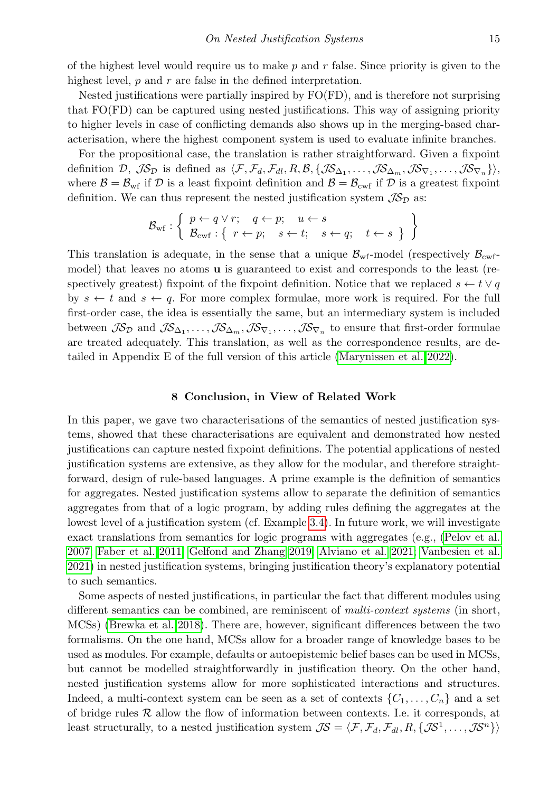of the highest level would require us to make  $p$  and  $r$  false. Since priority is given to the highest level,  $p$  and  $r$  are false in the defined interpretation.

Nested justifications were partially inspired by FO(FD), and is therefore not surprising that FO(FD) can be captured using nested justifications. This way of assigning priority to higher levels in case of conflicting demands also shows up in the merging-based characterisation, where the highest component system is used to evaluate infinite branches.

For the propositional case, the translation is rather straightforward. Given a fixpoint definition  $\mathcal{D}, \mathcal{J}\mathcal{S}_{\mathcal{D}}$  is defined as  $\langle \mathcal{F}, \mathcal{F}_d, \mathcal{F}_{dl}, R, \mathcal{B}, \{\mathcal{J}\mathcal{S}_{\Delta_1}, \ldots, \mathcal{J}\mathcal{S}_{\Delta_m}, \mathcal{J}\mathcal{S}_{\nabla_1}, \ldots, \mathcal{J}\mathcal{S}_{\nabla_n}\}\rangle$ where  $\mathcal{B} = \mathcal{B}_{\text{wf}}$  if  $\mathcal{D}$  is a least fixpoint definition and  $\mathcal{B} = \mathcal{B}_{\text{cwf}}$  if  $\mathcal{D}$  is a greatest fixpoint definition. We can thus represent the nested justification system  $\mathcal{IS}_D$  as:

$$
\mathcal{B}_{\text{wf}}: \left\{\begin{array}{l}p \leftarrow q \lor r; \quad q \leftarrow p; \quad u \leftarrow s\\ \mathcal{B}_{\text{cwf}}: \left\{ \begin{array}{l}r \leftarrow p; \quad s \leftarrow t; \quad s \leftarrow q; \quad t \leftarrow s\end{array}\right\}\right.\end{array}\right\}
$$

This translation is adequate, in the sense that a unique  $\mathcal{B}_{\text{wf}}$ -model (respectively  $\mathcal{B}_{\text{cwt}}$ model) that leaves no atoms **u** is guaranteed to exist and corresponds to the least (respectively greatest) fixpoint of the fixpoint definition. Notice that we replaced  $s \leftarrow t \vee q$ by  $s \leftarrow t$  and  $s \leftarrow q$ . For more complex formulae, more work is required. For the full first-order case, the idea is essentially the same, but an intermediary system is included between  $\mathcal{JS}_{\mathcal{D}}$  and  $\mathcal{JS}_{\Delta_1},\ldots,\mathcal{JS}_{\Delta_m},\mathcal{JS}_{\nabla_1},\ldots,\mathcal{JS}_{\nabla_n}$  to ensure that first-order formulae are treated adequately. This translation, as well as the correspondence results, are detailed in Appendix E of the full version of this article [\(Marynissen et al. 2022\)](#page-15-9).

#### 8 Conclusion, in View of Related Work

<span id="page-14-0"></span>In this paper, we gave two characterisations of the semantics of nested justification systems, showed that these characterisations are equivalent and demonstrated how nested justifications can capture nested fixpoint definitions. The potential applications of nested justification systems are extensive, as they allow for the modular, and therefore straightforward, design of rule-based languages. A prime example is the definition of semantics for aggregates. Nested justification systems allow to separate the definition of semantics aggregates from that of a logic program, by adding rules defining the aggregates at the lowest level of a justification system (cf. Example [3.4\)](#page-6-0). In future work, we will investigate exact translations from semantics for logic programs with aggregates (e.g., [\(Pelov et al.](#page-15-2) [2007;](#page-15-2) [Faber et al. 2011;](#page-15-3) [Gelfond and Zhang 2019;](#page-15-4) [Alviano et al. 2021;](#page-15-5) [Vanbesien et al.](#page-15-6) [2021\)](#page-15-6) in nested justification systems, bringing justification theory's explanatory potential to such semantics.

Some aspects of nested justifications, in particular the fact that different modules using different semantics can be combined, are reminiscent of *multi-context systems* (in short, MCSs) [\(Brewka et al. 2018\)](#page-15-11). There are, however, significant differences between the two formalisms. On the one hand, MCSs allow for a broader range of knowledge bases to be used as modules. For example, defaults or autoepistemic belief bases can be used in MCSs, but cannot be modelled straightforwardly in justification theory. On the other hand, nested justification systems allow for more sophisticated interactions and structures. Indeed, a multi-context system can be seen as a set of contexts  $\{C_1, \ldots, C_n\}$  and a set of bridge rules  $R$  allow the flow of information between contexts. I.e. it corresponds, at least structurally, to a nested justification system  $\mathcal{JS} = \langle F, \mathcal{F}_d, \mathcal{F}_d, R, \{ \mathcal{JS}^1, \ldots, \mathcal{JS}^n \} \rangle$